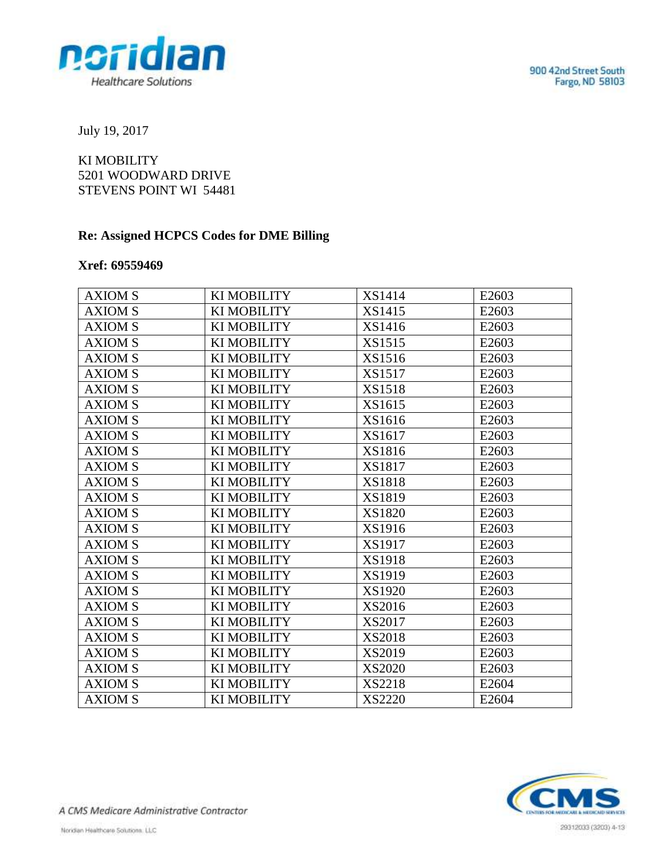

July 19, 2017

KI MOBILITY 5201 WOODWARD DRIVE STEVENS POINT WI 54481

## **Re: Assigned HCPCS Codes for DME Billing**

## **Xref: 69559469**

| <b>AXIOM S</b> | <b>KI MOBILITY</b> | XS1414        | E2603 |
|----------------|--------------------|---------------|-------|
| <b>AXIOM S</b> | KI MOBILITY        | XS1415        | E2603 |
| <b>AXIOM S</b> | KI MOBILITY        | XS1416        | E2603 |
| <b>AXIOM S</b> | KI MOBILITY        | XS1515        | E2603 |
| <b>AXIOM S</b> | KI MOBILITY        | XS1516        | E2603 |
| <b>AXIOM S</b> | KI MOBILITY        | XS1517        | E2603 |
| <b>AXIOM S</b> | KI MOBILITY        | XS1518        | E2603 |
| <b>AXIOM S</b> | KI MOBILITY        | XS1615        | E2603 |
| <b>AXIOM S</b> | KI MOBILITY        | XS1616        | E2603 |
| <b>AXIOM S</b> | KI MOBILITY        | XS1617        | E2603 |
| <b>AXIOM S</b> | KI MOBILITY        | XS1816        | E2603 |
| <b>AXIOM S</b> | KI MOBILITY        | XS1817        | E2603 |
| <b>AXIOM S</b> | KI MOBILITY        | XS1818        | E2603 |
| <b>AXIOM S</b> | KI MOBILITY        | XS1819        | E2603 |
| <b>AXIOM S</b> | <b>KI MOBILITY</b> | XS1820        | E2603 |
| <b>AXIOM S</b> | KI MOBILITY        | XS1916        | E2603 |
| <b>AXIOM S</b> | <b>KIMOBILITY</b>  | XS1917        | E2603 |
| <b>AXIOM S</b> | KI MOBILITY        | <b>XS1918</b> | E2603 |
| <b>AXIOM S</b> | KI MOBILITY        | XS1919        | E2603 |
| <b>AXIOM S</b> | KI MOBILITY        | XS1920        | E2603 |
| <b>AXIOM S</b> | KI MOBILITY        | XS2016        | E2603 |
| <b>AXIOM S</b> | KI MOBILITY        | <b>XS2017</b> | E2603 |
| <b>AXIOM S</b> | KI MOBILITY        | XS2018        | E2603 |
| <b>AXIOM S</b> | KI MOBILITY        | XS2019        | E2603 |
| <b>AXIOM S</b> | <b>KI MOBILITY</b> | XS2020        | E2603 |
| <b>AXIOM S</b> | KI MOBILITY        | <b>XS2218</b> | E2604 |
| <b>AXIOM S</b> | <b>KI MOBILITY</b> | <b>XS2220</b> | E2604 |



A CMS Medicare Administrative Contractor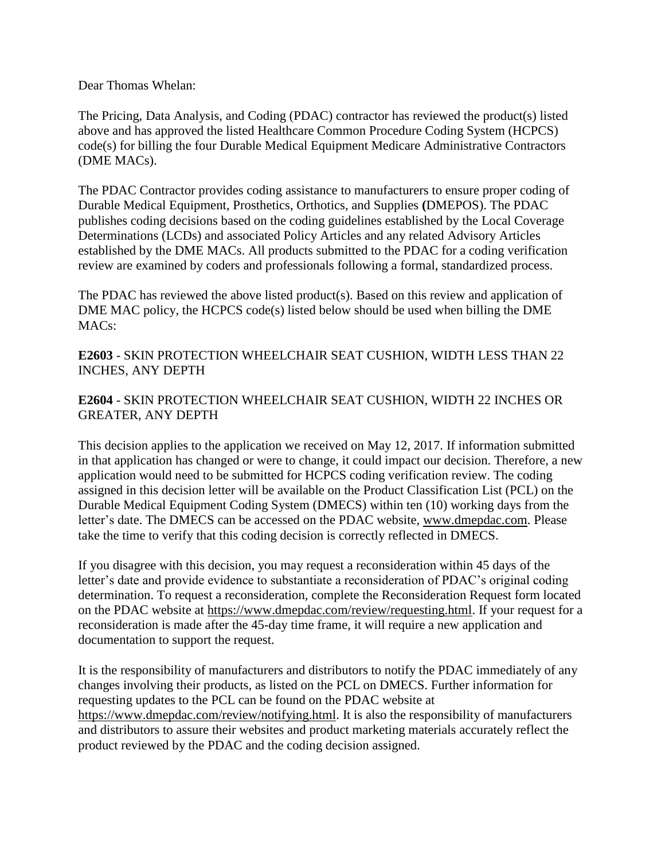Dear Thomas Whelan:

The Pricing, Data Analysis, and Coding (PDAC) contractor has reviewed the product(s) listed above and has approved the listed Healthcare Common Procedure Coding System (HCPCS) code(s) for billing the four Durable Medical Equipment Medicare Administrative Contractors (DME MACs).

The PDAC Contractor provides coding assistance to manufacturers to ensure proper coding of Durable Medical Equipment, Prosthetics, Orthotics, and Supplies **(**DMEPOS). The PDAC publishes coding decisions based on the coding guidelines established by the Local Coverage Determinations (LCDs) and associated Policy Articles and any related Advisory Articles established by the DME MACs. All products submitted to the PDAC for a coding verification review are examined by coders and professionals following a formal, standardized process.

The PDAC has reviewed the above listed product(s). Based on this review and application of DME MAC policy, the HCPCS code(s) listed below should be used when billing the DME MACs:

**E2603** - SKIN PROTECTION WHEELCHAIR SEAT CUSHION, WIDTH LESS THAN 22 INCHES, ANY DEPTH

## **E2604** - SKIN PROTECTION WHEELCHAIR SEAT CUSHION, WIDTH 22 INCHES OR GREATER, ANY DEPTH

This decision applies to the application we received on May 12, 2017. If information submitted in that application has changed or were to change, it could impact our decision. Therefore, a new application would need to be submitted for HCPCS coding verification review. The coding assigned in this decision letter will be available on the Product Classification List (PCL) on the Durable Medical Equipment Coding System (DMECS) within ten (10) working days from the letter's date. The DMECS can be accessed on the PDAC website, www.dmepdac.com. Please take the time to verify that this coding decision is correctly reflected in DMECS.

If you disagree with this decision, you may request a reconsideration within 45 days of the letter's date and provide evidence to substantiate a reconsideration of PDAC's original coding determination. To request a reconsideration, complete the Reconsideration Request form located on the PDAC website at https://www.dmepdac.com/review/requesting.html. If your request for a reconsideration is made after the 45-day time frame, it will require a new application and documentation to support the request.

It is the responsibility of manufacturers and distributors to notify the PDAC immediately of any changes involving their products, as listed on the PCL on DMECS. Further information for requesting updates to the PCL can be found on the PDAC website at https://www.dmepdac.com/review/notifying.html. It is also the responsibility of manufacturers and distributors to assure their websites and product marketing materials accurately reflect the product reviewed by the PDAC and the coding decision assigned.